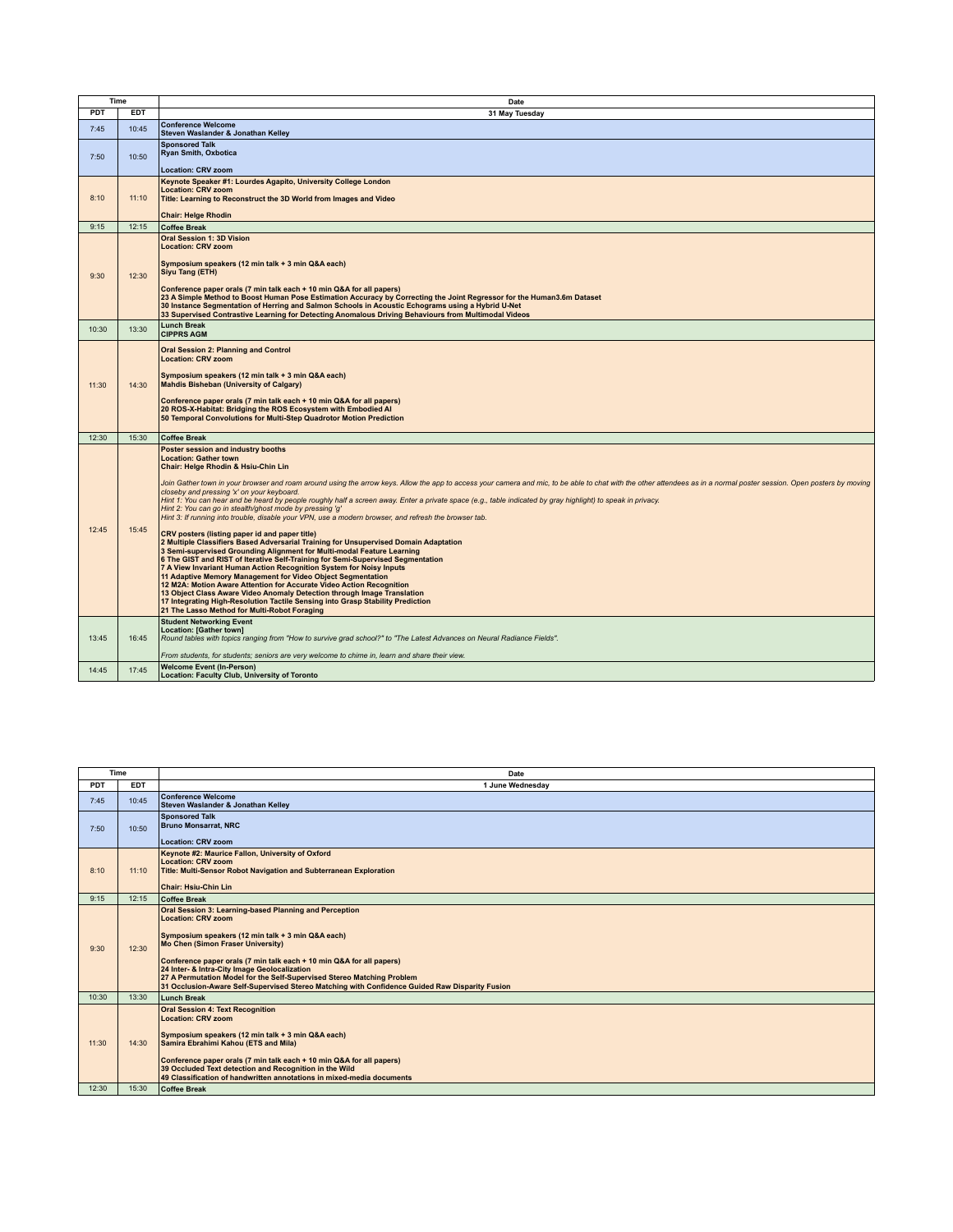| Time       |            | Date                                                                                                                                                                                                                                                                                                                                                                                                                                                                                                                                                                                                                                                                                                                                                                                                                                                                                                                                                                                                                                                                                                                                                                                                                                                                                                                                                                                                                                                    |
|------------|------------|---------------------------------------------------------------------------------------------------------------------------------------------------------------------------------------------------------------------------------------------------------------------------------------------------------------------------------------------------------------------------------------------------------------------------------------------------------------------------------------------------------------------------------------------------------------------------------------------------------------------------------------------------------------------------------------------------------------------------------------------------------------------------------------------------------------------------------------------------------------------------------------------------------------------------------------------------------------------------------------------------------------------------------------------------------------------------------------------------------------------------------------------------------------------------------------------------------------------------------------------------------------------------------------------------------------------------------------------------------------------------------------------------------------------------------------------------------|
| <b>PDT</b> | <b>EDT</b> | 31 May Tuesday                                                                                                                                                                                                                                                                                                                                                                                                                                                                                                                                                                                                                                                                                                                                                                                                                                                                                                                                                                                                                                                                                                                                                                                                                                                                                                                                                                                                                                          |
| 7:45       | 10:45      | <b>Conference Welcome</b><br>Steven Waslander & Jonathan Kelley                                                                                                                                                                                                                                                                                                                                                                                                                                                                                                                                                                                                                                                                                                                                                                                                                                                                                                                                                                                                                                                                                                                                                                                                                                                                                                                                                                                         |
| 7:50       | 10:50      | <b>Sponsored Talk</b><br><b>Rvan Smith, Oxbotica</b><br><b>Location: CRV zoom</b>                                                                                                                                                                                                                                                                                                                                                                                                                                                                                                                                                                                                                                                                                                                                                                                                                                                                                                                                                                                                                                                                                                                                                                                                                                                                                                                                                                       |
|            |            | Keynote Speaker #1: Lourdes Agapito, University College London                                                                                                                                                                                                                                                                                                                                                                                                                                                                                                                                                                                                                                                                                                                                                                                                                                                                                                                                                                                                                                                                                                                                                                                                                                                                                                                                                                                          |
| 8:10       | 11:10      | <b>Location: CRV zoom</b><br>Title: Learning to Reconstruct the 3D World from Images and Video                                                                                                                                                                                                                                                                                                                                                                                                                                                                                                                                                                                                                                                                                                                                                                                                                                                                                                                                                                                                                                                                                                                                                                                                                                                                                                                                                          |
|            |            | <b>Chair: Helge Rhodin</b>                                                                                                                                                                                                                                                                                                                                                                                                                                                                                                                                                                                                                                                                                                                                                                                                                                                                                                                                                                                                                                                                                                                                                                                                                                                                                                                                                                                                                              |
| 9:15       | 12:15      | <b>Coffee Break</b>                                                                                                                                                                                                                                                                                                                                                                                                                                                                                                                                                                                                                                                                                                                                                                                                                                                                                                                                                                                                                                                                                                                                                                                                                                                                                                                                                                                                                                     |
| 9:30       | 12:30      | <b>Oral Session 1: 3D Vision</b><br><b>Location: CRV zoom</b><br>Symposium speakers (12 min talk + 3 min Q&A each)<br>Siyu Tang (ETH)<br>Conference paper orals (7 min talk each + 10 min Q&A for all papers)<br>23 A Simple Method to Boost Human Pose Estimation Accuracy by Correcting the Joint Regressor for the Human3.6m Dataset                                                                                                                                                                                                                                                                                                                                                                                                                                                                                                                                                                                                                                                                                                                                                                                                                                                                                                                                                                                                                                                                                                                 |
|            |            | 30 Instance Segmentation of Herring and Salmon Schools in Acoustic Echograms using a Hybrid U-Net<br>33 Supervised Contrastive Learning for Detecting Anomalous Driving Behaviours from Multimodal Videos                                                                                                                                                                                                                                                                                                                                                                                                                                                                                                                                                                                                                                                                                                                                                                                                                                                                                                                                                                                                                                                                                                                                                                                                                                               |
| 10:30      | 13:30      | <b>Lunch Break</b><br><b>CIPPRS AGM</b>                                                                                                                                                                                                                                                                                                                                                                                                                                                                                                                                                                                                                                                                                                                                                                                                                                                                                                                                                                                                                                                                                                                                                                                                                                                                                                                                                                                                                 |
| 11:30      | 14:30      | <b>Oral Session 2: Planning and Control</b><br><b>Location: CRV zoom</b><br>Symposium speakers (12 min talk + 3 min Q&A each)<br><b>Mahdis Bisheban (University of Calgary)</b><br>Conference paper orals (7 min talk each + 10 min Q&A for all papers)<br>20 ROS-X-Habitat: Bridging the ROS Ecosystem with Embodied Al<br>50 Temporal Convolutions for Multi-Step Quadrotor Motion Prediction                                                                                                                                                                                                                                                                                                                                                                                                                                                                                                                                                                                                                                                                                                                                                                                                                                                                                                                                                                                                                                                         |
| 12:30      | 15:30      | <b>Coffee Break</b>                                                                                                                                                                                                                                                                                                                                                                                                                                                                                                                                                                                                                                                                                                                                                                                                                                                                                                                                                                                                                                                                                                                                                                                                                                                                                                                                                                                                                                     |
| 12:45      | 15:45      | Poster session and industry booths<br><b>Location: Gather town</b><br>Chair: Helge Rhodin & Hsiu-Chin Lin<br>Join Gather town in your browser and roam around using the arrow keys. Allow the app to access your camera and mic, to be able to chat with the other attendees as in a normal poster session. Open posters by moving<br>closeby and pressing 'x' on your keyboard.<br>Hint 1: You can hear and be heard by people roughly half a screen away. Enter a private space (e.g., table indicated by gray highlight) to speak in privacy.<br>Hint 2: You can go in stealth/ghost mode by pressing 'g'<br>Hint 3: If running into trouble, disable your VPN, use a modern browser, and refresh the browser tab.<br>CRV posters (listing paper id and paper title)<br>2 Multiple Classifiers Based Adversarial Training for Unsupervised Domain Adaptation<br>3 Semi-supervised Grounding Alignment for Multi-modal Feature Learning<br>6 The GIST and RIST of Iterative Self-Training for Semi-Supervised Segmentation<br>7 A View Invariant Human Action Recognition System for Noisy Inputs<br>11 Adaptive Memory Management for Video Object Segmentation<br>12 M2A: Motion Aware Attention for Accurate Video Action Recognition<br>13 Object Class Aware Video Anomaly Detection through Image Translation<br>17 Integrating High-Resolution Tactile Sensing into Grasp Stability Prediction<br>21 The Lasso Method for Multi-Robot Foraging |
| 13:45      | 16:45      | <b>Student Networking Event</b><br>Location: [Gather town]                                                                                                                                                                                                                                                                                                                                                                                                                                                                                                                                                                                                                                                                                                                                                                                                                                                                                                                                                                                                                                                                                                                                                                                                                                                                                                                                                                                              |
|            |            | Round tables with topics ranging from "How to survive grad school?" to "The Latest Advances on Neural Radiance Fields".<br>From students, for students; seniors are very welcome to chime in, learn and share their view.                                                                                                                                                                                                                                                                                                                                                                                                                                                                                                                                                                                                                                                                                                                                                                                                                                                                                                                                                                                                                                                                                                                                                                                                                               |
| 14:45      | 17:45      | <b>Welcome Event (In-Person)</b><br>Location: Faculty Club, University of Toronto                                                                                                                                                                                                                                                                                                                                                                                                                                                                                                                                                                                                                                                                                                                                                                                                                                                                                                                                                                                                                                                                                                                                                                                                                                                                                                                                                                       |

| Time       |            | Date                                                                                                                                                                                                                                                                                                                                                                                                                                                                                     |
|------------|------------|------------------------------------------------------------------------------------------------------------------------------------------------------------------------------------------------------------------------------------------------------------------------------------------------------------------------------------------------------------------------------------------------------------------------------------------------------------------------------------------|
| <b>PDT</b> | <b>EDT</b> | 1 June Wednesday                                                                                                                                                                                                                                                                                                                                                                                                                                                                         |
| 7:45       | 10:45      | <b>Conference Welcome</b><br>Steven Waslander & Jonathan Kelley                                                                                                                                                                                                                                                                                                                                                                                                                          |
| 7:50       | 10:50      | <b>Sponsored Talk</b><br><b>Bruno Monsarrat, NRC</b><br><b>Location: CRV zoom</b>                                                                                                                                                                                                                                                                                                                                                                                                        |
| 8:10       | 11:10      | Keynote #2: Maurice Fallon, University of Oxford<br><b>Location: CRV zoom</b><br>Title: Multi-Sensor Robot Navigation and Subterranean Exploration<br><b>Chair: Hsiu-Chin Lin</b>                                                                                                                                                                                                                                                                                                        |
| 9:15       | 12:15      | <b>Coffee Break</b>                                                                                                                                                                                                                                                                                                                                                                                                                                                                      |
| 9:30       | 12:30      | Oral Session 3: Learning-based Planning and Perception<br><b>Location: CRV zoom</b><br>Symposium speakers (12 min talk + 3 min Q&A each)<br><b>Mo Chen (Simon Fraser University)</b><br>Conference paper orals (7 min talk each + 10 min Q&A for all papers)<br>24 Inter- & Intra-City Image Geolocalization<br>27 A Permutation Model for the Self-Supervised Stereo Matching Problem<br>31 Occlusion-Aware Self-Supervised Stereo Matching with Confidence Guided Raw Disparity Fusion |
| 10:30      | 13:30      | Lunch Break                                                                                                                                                                                                                                                                                                                                                                                                                                                                              |
| 11:30      | 14:30      | <b>Oral Session 4: Text Recognition</b><br><b>Location: CRV zoom</b><br>Symposium speakers (12 min talk + 3 min Q&A each)<br>Samira Ebrahimi Kahou (ETS and Mila)<br>Conference paper orals (7 min talk each + 10 min Q&A for all papers)<br>39 Occluded Text detection and Recognition in the Wild<br>49 Classification of handwritten annotations in mixed-media documents                                                                                                             |
| 12:30      | 15:30      | <b>Coffee Break</b>                                                                                                                                                                                                                                                                                                                                                                                                                                                                      |
|            |            |                                                                                                                                                                                                                                                                                                                                                                                                                                                                                          |